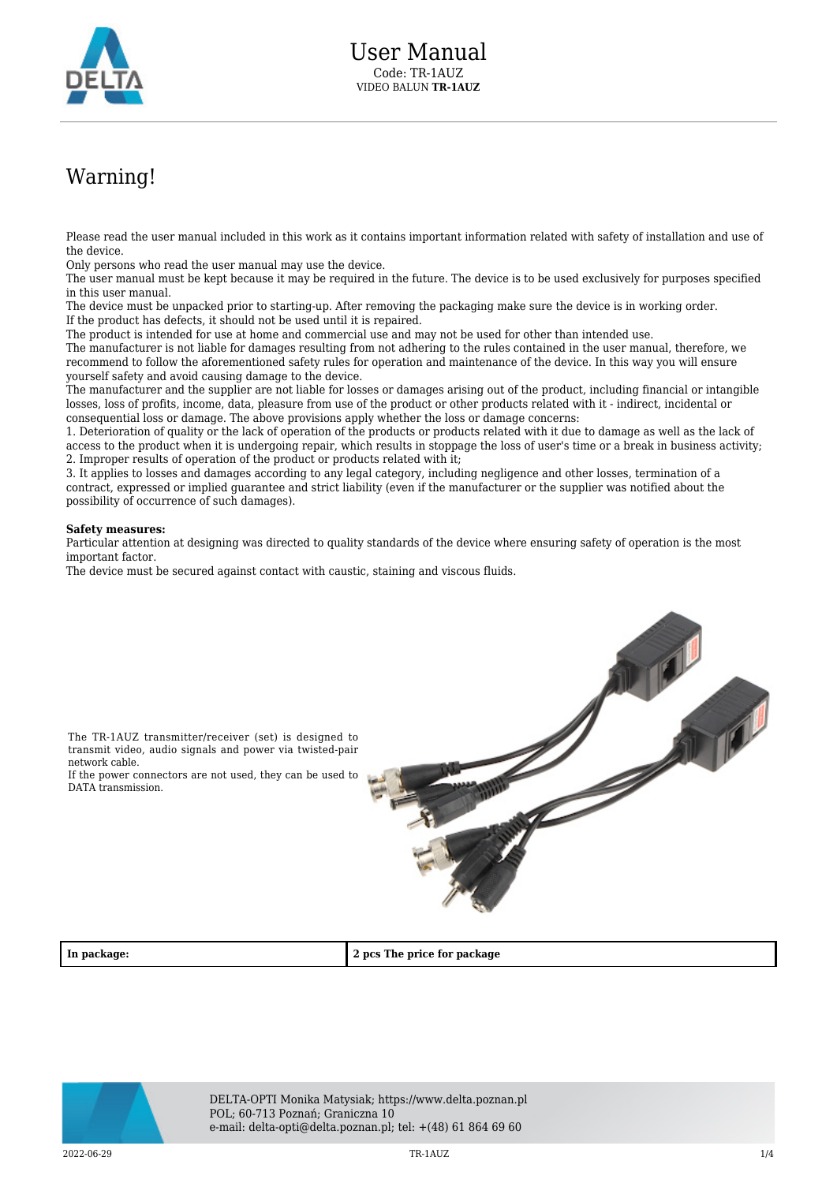

## Warning!

Please read the user manual included in this work as it contains important information related with safety of installation and use of the device.

Only persons who read the user manual may use the device.

The user manual must be kept because it may be required in the future. The device is to be used exclusively for purposes specified in this user manual.

The device must be unpacked prior to starting-up. After removing the packaging make sure the device is in working order. If the product has defects, it should not be used until it is repaired.

The product is intended for use at home and commercial use and may not be used for other than intended use.

The manufacturer is not liable for damages resulting from not adhering to the rules contained in the user manual, therefore, we recommend to follow the aforementioned safety rules for operation and maintenance of the device. In this way you will ensure yourself safety and avoid causing damage to the device.

The manufacturer and the supplier are not liable for losses or damages arising out of the product, including financial or intangible losses, loss of profits, income, data, pleasure from use of the product or other products related with it - indirect, incidental or consequential loss or damage. The above provisions apply whether the loss or damage concerns:

1. Deterioration of quality or the lack of operation of the products or products related with it due to damage as well as the lack of access to the product when it is undergoing repair, which results in stoppage the loss of user's time or a break in business activity; 2. Improper results of operation of the product or products related with it;

3. It applies to losses and damages according to any legal category, including negligence and other losses, termination of a contract, expressed or implied guarantee and strict liability (even if the manufacturer or the supplier was notified about the possibility of occurrence of such damages).

## **Safety measures:**

Particular attention at designing was directed to quality standards of the device where ensuring safety of operation is the most important factor.

The device must be secured against contact with caustic, staining and viscous fluids.



The TR-1AUZ transmitter/receiver (set) is designed to transmit video, audio signals and power via twisted-pair network cable.

If the power connectors are not used, they can be used to DATA transmission.

**In package: 2 pcs The price for package**



DELTA-OPTI Monika Matysiak; https://www.delta.poznan.pl POL; 60-713 Poznań; Graniczna 10 e-mail: delta-opti@delta.poznan.pl; tel: +(48) 61 864 69 60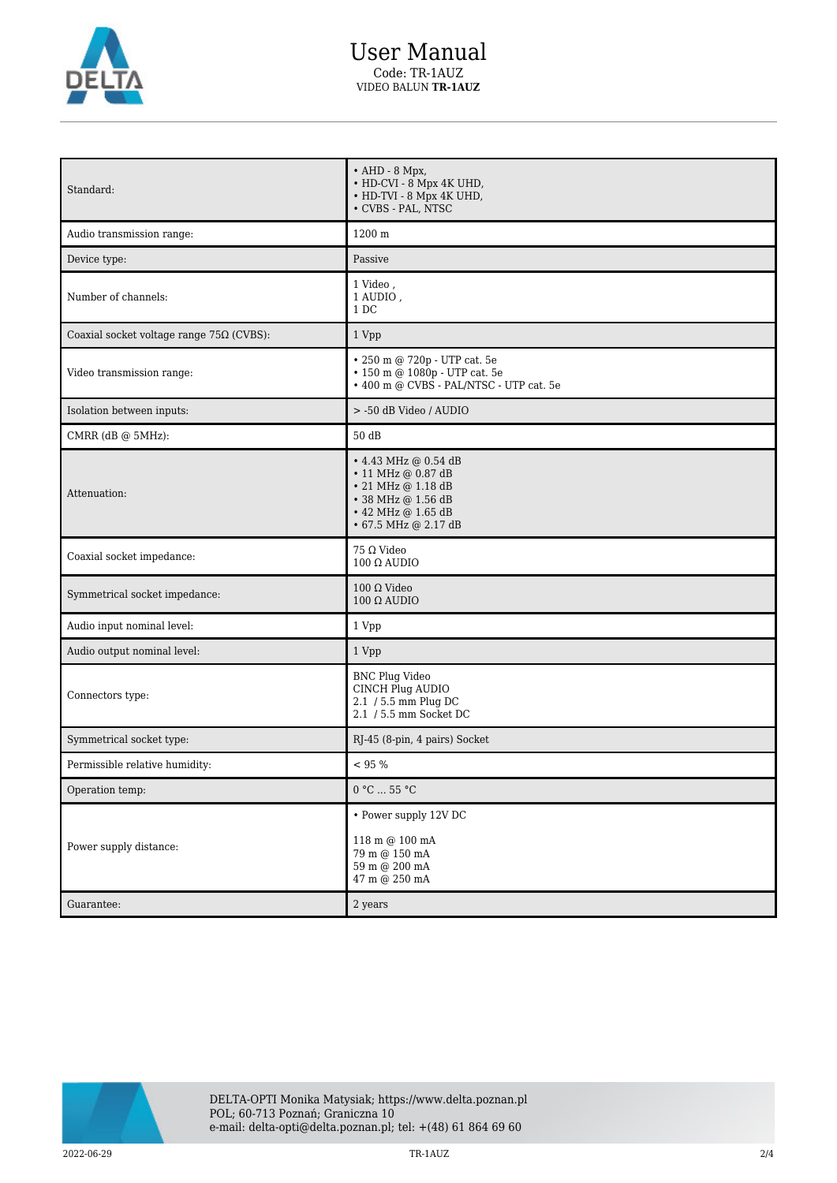

## User Manual Code: TR-1AUZ VIDEO BALUN **TR-1AUZ**

| Standard:                                       | $\bullet$ AHD - 8 Mpx,<br>• HD-CVI - 8 Mpx 4K UHD,<br>• HD-TVI - 8 Mpx 4K UHD,<br>• CVBS - PAL, NTSC                                       |
|-------------------------------------------------|--------------------------------------------------------------------------------------------------------------------------------------------|
| Audio transmission range:                       | 1200 m                                                                                                                                     |
| Device type:                                    | Passive                                                                                                                                    |
| Number of channels:                             | 1 Video,<br>1 AUDIO,<br>1 DC                                                                                                               |
| Coaxial socket voltage range $75\Omega$ (CVBS): | 1 Vpp                                                                                                                                      |
| Video transmission range:                       | $\bullet$ 250 m @ 720p - UTP cat. 5e<br>• 150 m @ 1080p - UTP cat. 5e<br>• 400 m @ CVBS - PAL/NTSC - UTP cat. 5e                           |
| Isolation between inputs:                       | > -50 dB Video / AUDIO                                                                                                                     |
| CMRR (dB @ 5MHz):                               | 50 dB                                                                                                                                      |
| Attenuation:                                    | • 4.43 MHz @ 0.54 dB<br>• 11 MHz @ 0.87 dB<br>• 21 MHz @ 1.18 dB<br>• 38 MHz @ 1.56 dB<br>$\cdot$ 42 MHz @ 1.65 dB<br>• 67.5 MHz @ 2.17 dB |
| Coaxial socket impedance:                       | $75 \Omega$ Video<br>$100 \Omega$ AUDIO                                                                                                    |
| Symmetrical socket impedance:                   | $100 \Omega$ Video<br>$100 \Omega$ AUDIO                                                                                                   |
| Audio input nominal level:                      | 1 Vpp                                                                                                                                      |
| Audio output nominal level:                     | 1 Vpp                                                                                                                                      |
| Connectors type:                                | <b>BNC Plug Video</b><br>CINCH Plug AUDIO<br>2.1 / 5.5 mm Plug DC<br>2.1 / 5.5 mm Socket DC                                                |
| Symmetrical socket type:                        | RJ-45 (8-pin, 4 pairs) Socket                                                                                                              |
| Permissible relative humidity:                  | < 95 %                                                                                                                                     |
| Operation temp:                                 | 0 °C  55 °C                                                                                                                                |
| Power supply distance:<br>Guarantee:            | • Power supply 12V DC<br>118 m @ 100 mA<br>79 m @ 150 mA<br>59 m @ 200 mA<br>47 m @ 250 mA<br>2 years                                      |
|                                                 |                                                                                                                                            |

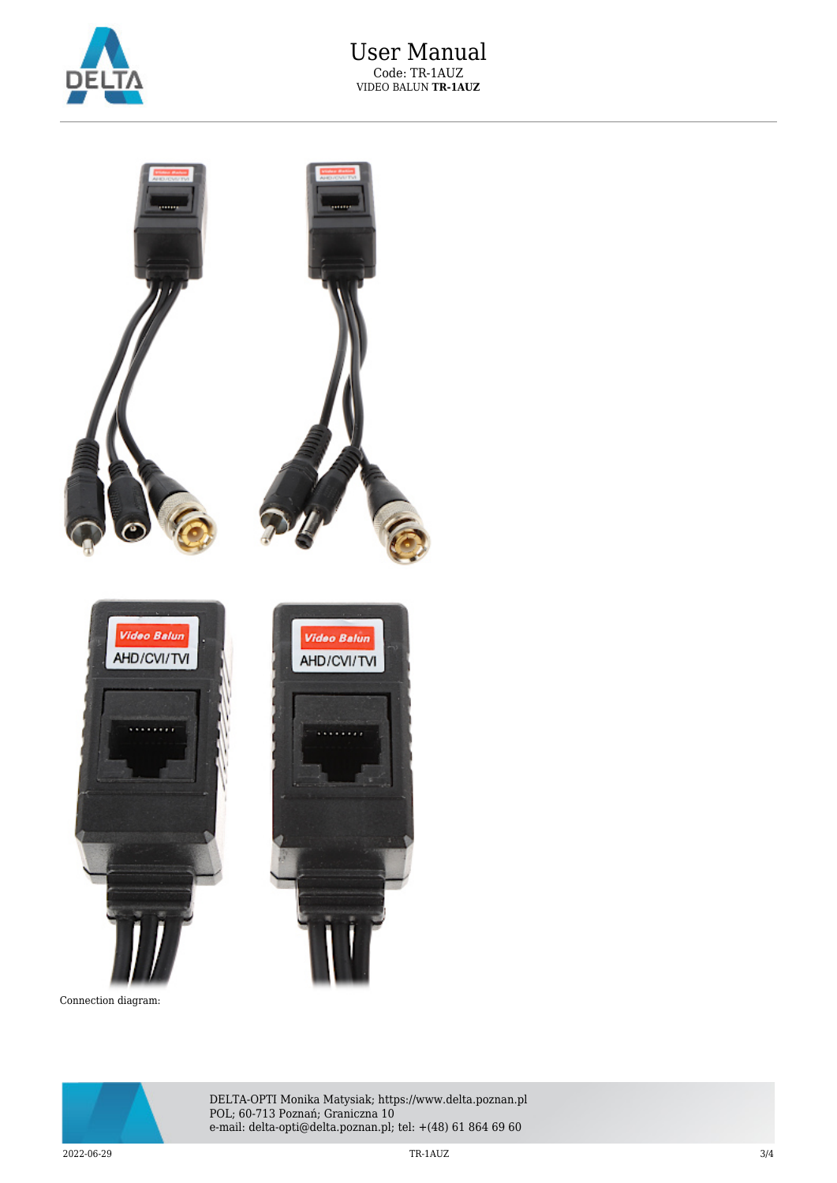



Connection diagram:



DELTA-OPTI Monika Matysiak; https://www.delta.poznan.pl POL; 60-713 Poznań; Graniczna 10 e-mail: delta-opti@delta.poznan.pl; tel: +(48) 61 864 69 60

 $2022$ -06-29  $3/4$